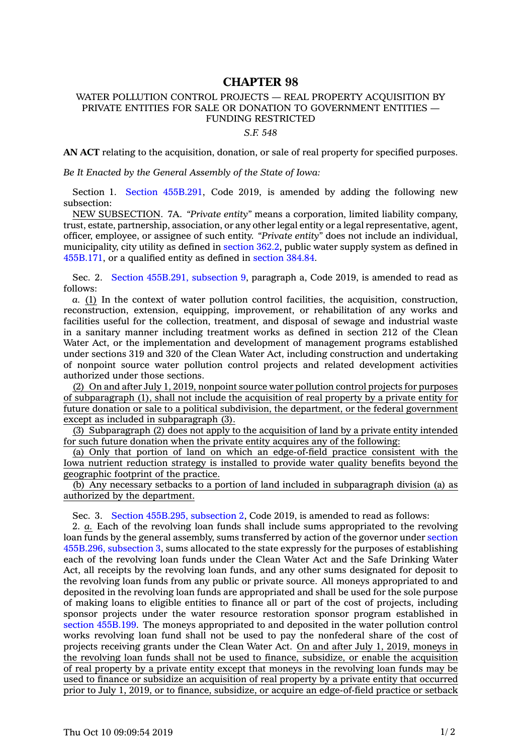## **CHAPTER 98**

## WATER POLLUTION CONTROL PROJECTS — REAL PROPERTY ACQUISITION BY PRIVATE ENTITIES FOR SALE OR DONATION TO GOVERNMENT ENTITIES — FUNDING RESTRICTED

## *S.F. 548*

**AN ACT** relating to the acquisition, donation, or sale of real property for specified purposes.

*Be It Enacted by the General Assembly of the State of Iowa:*

Section 1. Section [455B.291](https://www.legis.iowa.gov/docs/code/2019/455B.291.pdf), Code 2019, is amended by adding the following new subsection:

NEW SUBSECTION. 7A. *"Private entity"* means <sup>a</sup> corporation, limited liability company, trust, estate, partnership, association, or any other legal entity or <sup>a</sup> legal representative, agent, officer, employee, or assignee of such entity. *"Private entity"* does not include an individual, municipality, city utility as defined in [section](https://www.legis.iowa.gov/docs/code/2019/362.2.pdf) 362.2, public water supply system as defined in [455B.171](https://www.legis.iowa.gov/docs/code/2019/455B.171.pdf), or <sup>a</sup> qualified entity as defined in [section](https://www.legis.iowa.gov/docs/code/2019/384.84.pdf) 384.84.

Sec. 2. Section [455B.291,](https://www.legis.iowa.gov/docs/code/2019/455B.291.pdf) subsection 9, paragraph a, Code 2019, is amended to read as follows:

*a.* (1) In the context of water pollution control facilities, the acquisition, construction, reconstruction, extension, equipping, improvement, or rehabilitation of any works and facilities useful for the collection, treatment, and disposal of sewage and industrial waste in <sup>a</sup> sanitary manner including treatment works as defined in section 212 of the Clean Water Act, or the implementation and development of management programs established under sections 319 and 320 of the Clean Water Act, including construction and undertaking of nonpoint source water pollution control projects and related development activities authorized under those sections.

(2) On and after July 1, 2019, nonpoint source water pollution control projects for purposes of subparagraph (1), shall not include the acquisition of real property by <sup>a</sup> private entity for future donation or sale to <sup>a</sup> political subdivision, the department, or the federal government except as included in subparagraph (3).

(3) Subparagraph (2) does not apply to the acquisition of land by <sup>a</sup> private entity intended for such future donation when the private entity acquires any of the following:

(a) Only that portion of land on which an edge-of-field practice consistent with the Iowa nutrient reduction strategy is installed to provide water quality benefits beyond the geographic footprint of the practice.

(b) Any necessary setbacks to <sup>a</sup> portion of land included in subparagraph division (a) as authorized by the department.

Sec. 3. Section [455B.295,](https://www.legis.iowa.gov/docs/code/2019/455B.295.pdf) subsection 2, Code 2019, is amended to read as follows:

2. *a.* Each of the revolving loan funds shall include sums appropriated to the revolving loan funds by the general assembly, sums transferred by action of the governor under [section](https://www.legis.iowa.gov/docs/code/2019/455B.296.pdf) [455B.296,](https://www.legis.iowa.gov/docs/code/2019/455B.296.pdf) subsection 3, sums allocated to the state expressly for the purposes of establishing each of the revolving loan funds under the Clean Water Act and the Safe Drinking Water Act, all receipts by the revolving loan funds, and any other sums designated for deposit to the revolving loan funds from any public or private source. All moneys appropriated to and deposited in the revolving loan funds are appropriated and shall be used for the sole purpose of making loans to eligible entities to finance all or part of the cost of projects, including sponsor projects under the water resource restoration sponsor program established in section [455B.199](https://www.legis.iowa.gov/docs/code/2019/455B.199.pdf). The moneys appropriated to and deposited in the water pollution control works revolving loan fund shall not be used to pay the nonfederal share of the cost of projects receiving grants under the Clean Water Act. On and after July 1, 2019, moneys in the revolving loan funds shall not be used to finance, subsidize, or enable the acquisition of real property by <sup>a</sup> private entity except that moneys in the revolving loan funds may be used to finance or subsidize an acquisition of real property by <sup>a</sup> private entity that occurred prior to July 1, 2019, or to finance, subsidize, or acquire an edge-of-field practice or setback